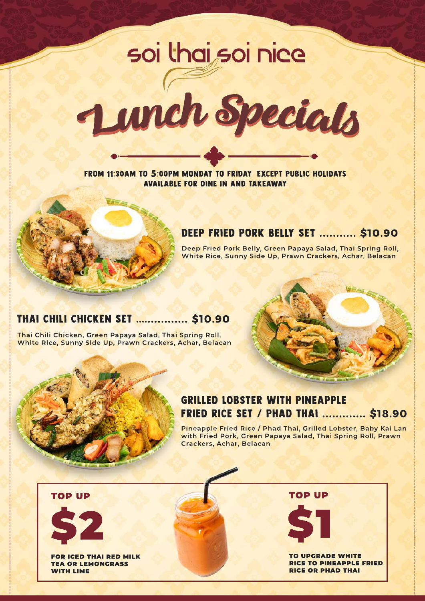# soi thai soi nice



From 11:30am to **5**:00pm MONDAY TO FRIDAY| Except Public Holidays Available for Dine In and Takeaway



**Deep Fried Pork Belly, Green Papaya Salad, Thai Spring Roll, W hite Rice, Sunny Side Up, Prawn Crackers, Achar, Belacan**

## THAI CHILI CHICKEN SET ....**............ \$10.90**

**Thai Chili Chicken, Green Papaya Salad, Thai Spring Roll, W hite Rice, Sunny Side Up, Prawn Crackers, Achar, Belacan**



#### Grilled Lobster With Pineapple Fried Rice Set / Phad Thai **.............\$18.90**

**Pineapple Fried Rice / Phad Thai, Grilled Lobster, Baby Kai Lan with Fried Pork, Green Papaya Salad, Thai Spring Roll, Prawn Crackers, Achar, Belacan**

\$2

FOR ICED THAI RED MILK TEA OR LEMONGRASS **WITH LIME** 

TOP UP TOP UP TOP UP



**TO UPGRADE WHITE** RICE TO PINEAPPLE FRIED RICE OR PHAD THAI